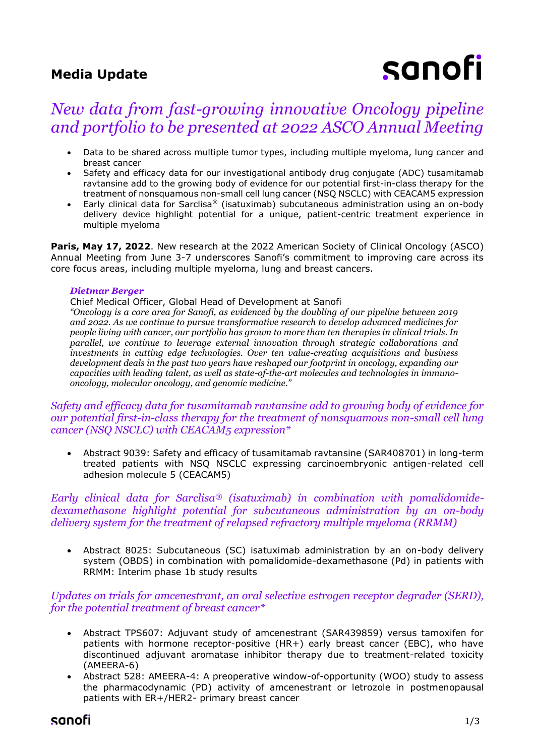## **Media Update**

# sanofi

# *New data from fast-growing innovative Oncology pipeline and portfolio to be presented at 2022 ASCO Annual Meeting*

- Data to be shared across multiple tumor types, including multiple myeloma, lung cancer and breast cancer
- Safety and efficacy data for our investigational antibody drug conjugate (ADC) tusamitamab ravtansine add to the growing body of evidence for our potential first-in-class therapy for the treatment of nonsquamous non-small cell lung cancer (NSQ NSCLC) with CEACAM5 expression
- Early clinical data for Sarclisa® (isatuximab) subcutaneous administration using an on-body delivery device highlight potential for a unique, patient-centric treatment experience in multiple myeloma

**Paris, May 17, 2022.** New research at the 2022 American Society of Clinical Oncology (ASCO) Annual Meeting from June 3-7 underscores Sanofi's commitment to improving care across its core focus areas, including multiple myeloma, lung and breast cancers.

#### *Dietmar Berger*

Chief Medical Officer, Global Head of Development at Sanofi

*"Oncology is a core area for Sanofi, as evidenced by the doubling of our pipeline between 2019 and 2022. As we continue to pursue transformative research to develop advanced medicines for people living with cancer, our portfolio has grown to more than ten therapies in clinical trials. In parallel, we continue to leverage external innovation through strategic collaborations and investments in cutting edge technologies. Over ten value-creating acquisitions and business development deals in the past two years have reshaped our footprint in oncology, expanding our capacities with leading talent, as well as state-of-the-art molecules and technologies in immunooncology, molecular oncology, and genomic medicine."*

## *Safety and efficacy data for tusamitamab ravtansine add to growing body of evidence for our potential first-in-class therapy for the treatment of nonsquamous non-small cell lung cancer (NSQ NSCLC) with CEACAM5 expression\**

• Abstract 9039: Safety and efficacy of tusamitamab ravtansine (SAR408701) in long-term treated patients with NSQ NSCLC expressing carcinoembryonic antigen-related cell adhesion molecule 5 (CEACAM5)

*Early clinical data for Sarclisa® (isatuximab) in combination with pomalidomidedexamethasone highlight potential for subcutaneous administration by an on-body delivery system for the treatment of relapsed refractory multiple myeloma (RRMM)* 

• Abstract 8025: Subcutaneous (SC) isatuximab administration by an on-body delivery system (OBDS) in combination with pomalidomide-dexamethasone (Pd) in patients with RRMM: Interim phase 1b study results

*Updates on trials for amcenestrant, an oral selective estrogen receptor degrader (SERD), for the potential treatment of breast cancer\**

- Abstract TPS607: Adjuvant study of amcenestrant (SAR439859) versus tamoxifen for patients with hormone receptor-positive (HR+) early breast cancer (EBC), who have discontinued adjuvant aromatase inhibitor therapy due to treatment-related toxicity (AMEERA-6)
- Abstract 528: AMEERA-4: A preoperative window-of-opportunity (WOO) study to assess the pharmacodynamic (PD) activity of amcenestrant or letrozole in postmenopausal patients with ER+/HER2- primary breast cancer

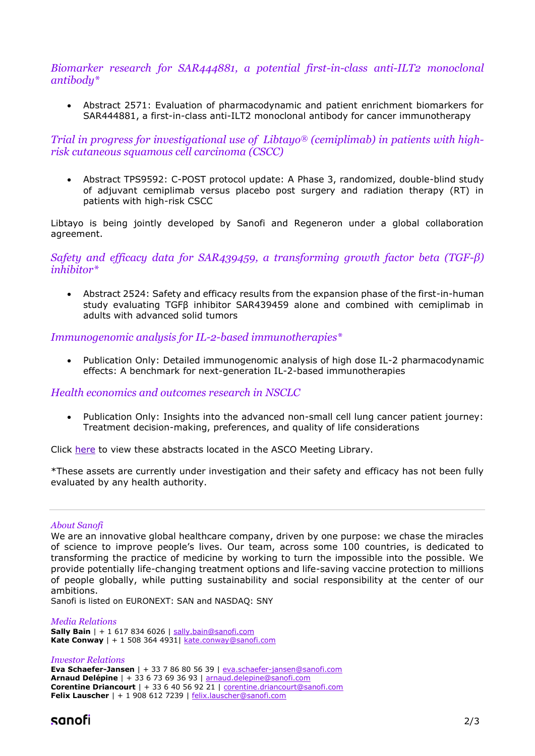#### *Biomarker research for SAR444881, a potential first-in-class anti-ILT2 monoclonal antibody\**

• Abstract 2571: Evaluation of pharmacodynamic and patient enrichment biomarkers for SAR444881, a first-in-class anti-ILT2 monoclonal antibody for cancer immunotherapy

## *Trial in progress for investigational use of Libtayo® (cemiplimab) in patients with highrisk cutaneous squamous cell carcinoma (CSCC)*

• Abstract TPS9592: C-POST protocol update: A Phase 3, randomized, double-blind study of adjuvant cemiplimab versus placebo post surgery and radiation therapy (RT) in patients with high-risk CSCC

Libtayo is being jointly developed by Sanofi and Regeneron under a global collaboration agreement.

#### *Safety and efficacy data for SAR439459, a transforming growth factor beta (TGF-β) inhibitor\**

• Abstract 2524: Safety and efficacy results from the expansion phase of the first-in-human study evaluating TGFβ inhibitor SAR439459 alone and combined with cemiplimab in adults with advanced solid tumors

#### *Immunogenomic analysis for IL-2-based immunotherapies\**

• Publication Only: Detailed immunogenomic analysis of high dose IL-2 pharmacodynamic effects: A benchmark for next-generation IL-2-based immunotherapies

## *Health economics and outcomes research in NSCLC*

• Publication Only: Insights into the advanced non-small cell lung cancer patient journey: Treatment decision-making, preferences, and quality of life considerations

Click [here](https://meetings.asco.org/abstracts-presentations/search?query=*&q=*&sortBy=AbstractBrowse&filters=%7B%22meetingTypeName%22:%5B%7B%22key%22:%22ASCO%20Annual%20Meeting%22%7D%5D,%22meetingYear%22:%5B%7B%22key%22:2022%7D%5D,%22presentationType%22:%5B%7B%22key%22:%22Abstract%20Presentation%22%7D,%7B%22key%22:%22Poster%22%7D,%7B%22key%22:%22Abstract%22%7D%5D%7D&size=50&intcmp=js_ascoorg_am_abstracts_site_meeting-carousel_042722__am-web-visitors__view-titles_aware_image-text_) to view these abstracts located in the ASCO Meeting Library.

\*These assets are currently under investigation and their safety and efficacy has not been fully evaluated by any health authority.

#### *About Sanofi*

We are an innovative global healthcare company, driven by one purpose: we chase the miracles of science to improve people's lives. Our team, across some 100 countries, is dedicated to transforming the practice of medicine by working to turn the impossible into the possible. We provide potentially life-changing treatment options and life-saving vaccine protection to millions of people globally, while putting sustainability and social responsibility at the center of our ambitions.

Sanofi is listed on EURONEXT: SAN and NASDAQ: SNY

#### *Media Relations*

**Sally Bain** | + 1 617 834 6026 | [sally.bain@sanofi.com](mailto:sally.bain@sanofi.com) **Kate Conway** | + 1 508 364 4931[| kate.conway@sanofi.com](mailto:kate.conway@sanofi.com)

#### *Investor Relations* **Eva Schaefer-Jansen** | + 33 7 86 80 56 39 | [eva.schaefer-jansen@sanofi.com](mailto:eva.schaefer-jansen@sanofi.com) **Arnaud Delépine** | + 33 6 73 69 36 93 | [arnaud.delepine@sanofi.com](mailto:arnaud.delepine@sanofi.com) **Corentine Driancourt** | + 33 6 40 56 92 21 | [corentine.driancourt@sanofi.com](mailto:corentine.driancourt@sanofi.com) **Felix Lauscher** | + 1 908 612 7239 | [felix.lauscher@sanofi.com](mailto:felix.lauscher@sanofi.com)

## sanofi